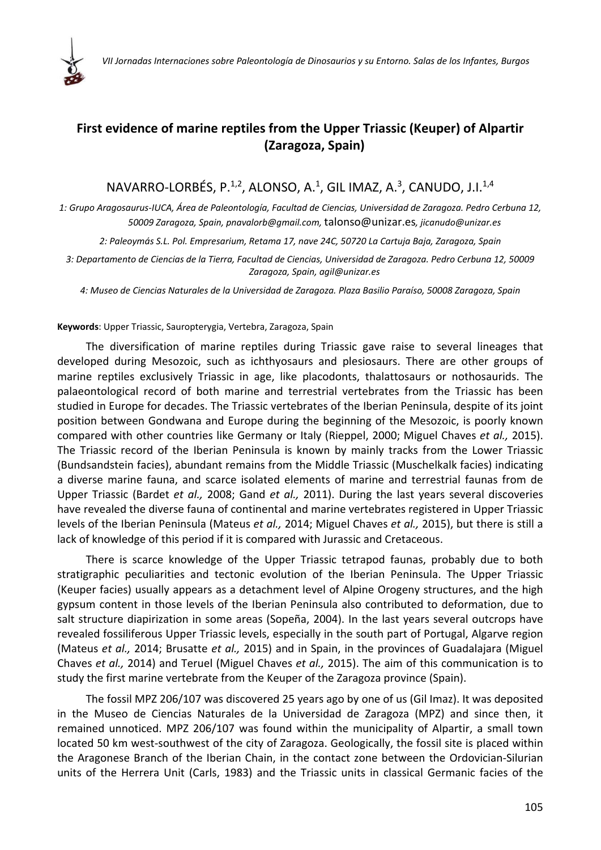

## **First evidence of marine reptiles from the Upper Triassic (Keuper) of Alpartir (Zaragoza, Spain)**

## $NAVARO-LORBÉS, P.<sup>1,2</sup>, ALONSO, A.<sup>1</sup>, GIL IMAZ, A.<sup>3</sup>, CANUDO, J.I.<sup>1,4</sup>$

1: Grupo Aragosaurus-IUCA, Área de Paleontología, Facultad de Ciencias, Universidad de Zaragoza. Pedro Cerbuna 12, *50009 Zaragoza, Spain, pnavalorb@gmail.com,* talonso@unizar.es*, jicanudo@unizar.es*

*2: Paleoymás S.L. Pol. Empresarium, Retama 17, nave 24C, 50720 La Cartuja Baja, Zaragoza, Spain*

3: Departamento de Ciencias de la Tierra, Facultad de Ciencias, Universidad de Zaragoza. Pedro Cerbuna 12, 50009 *Zaragoza, Spain, agil@unizar.es*

*4: Museo de Ciencias Naturales de la Universidad de Zaragoza. Plaza Basilio Paraíso, 50008 Zaragoza, Spain*

## **Keywords**: Upper Triassic, Sauropterygia, Vertebra, Zaragoza, Spain

The diversification of marine reptiles during Triassic gave raise to several lineages that developed during Mesozoic, such as ichthyosaurs and plesiosaurs. There are other groups of marine reptiles exclusively Triassic in age, like placodonts, thalattosaurs or nothosaurids. The palaeontological record of both marine and terrestrial vertebrates from the Triassic has been studied in Europe for decades. The Triassic vertebrates of the Iberian Peninsula, despite of its joint position between Gondwana and Europe during the beginning of the Mesozoic, is poorly known compared with other countries like Germany or Italy (Rieppel, 2000; Miguel Chaves *et al.,* 2015). The Triassic record of the Iberian Peninsula is known by mainly tracks from the Lower Triassic (Bundsandstein facies), abundant remains from the Middle Triassic (Muschelkalk facies) indicating a diverse marine fauna, and scarce isolated elements of marine and terrestrial faunas from de Upper Triassic (Bardet *et al.,* 2008; Gand *et al.,* 2011). During the last years several discoveries have revealed the diverse fauna of continental and marine vertebrates registered in Upper Triassic levels of the Iberian Peninsula (Mateus *et al.,* 2014; Miguel Chaves *et al.,* 2015), but there is still a lack of knowledge of this period if it is compared with Jurassic and Cretaceous.

There is scarce knowledge of the Upper Triassic tetrapod faunas, probably due to both stratigraphic peculiarities and tectonic evolution of the Iberian Peninsula. The Upper Triassic (Keuper facies) usually appears as a detachment level of Alpine Orogeny structures, and the high gypsum content in those levels of the Iberian Peninsula also contributed to deformation, due to salt structure diapirization in some areas (Sopeña, 2004). In the last years several outcrops have revealed fossiliferous Upper Triassic levels, especially in the south part of Portugal, Algarve region (Mateus *et al.,* 2014; Brusatte *et al.,* 2015) and in Spain, in the provinces of Guadalajara (Miguel Chaves *et al.,* 2014) and Teruel (Miguel Chaves *et al.,* 2015). The aim of this communication is to study the first marine vertebrate from the Keuper of the Zaragoza province (Spain).

The fossil MPZ 206/107 was discovered 25 years ago by one of us (Gil Imaz). It was deposited in the Museo de Ciencias Naturales de la Universidad de Zaragoza (MPZ) and since then, it remained unnoticed. MPZ 206/107 was found within the municipality of Alpartir, a small town located 50 km west‐southwest of the city of Zaragoza. Geologically, the fossil site is placed within the Aragonese Branch of the Iberian Chain, in the contact zone between the Ordovician‐Silurian units of the Herrera Unit (Carls, 1983) and the Triassic units in classical Germanic facies of the